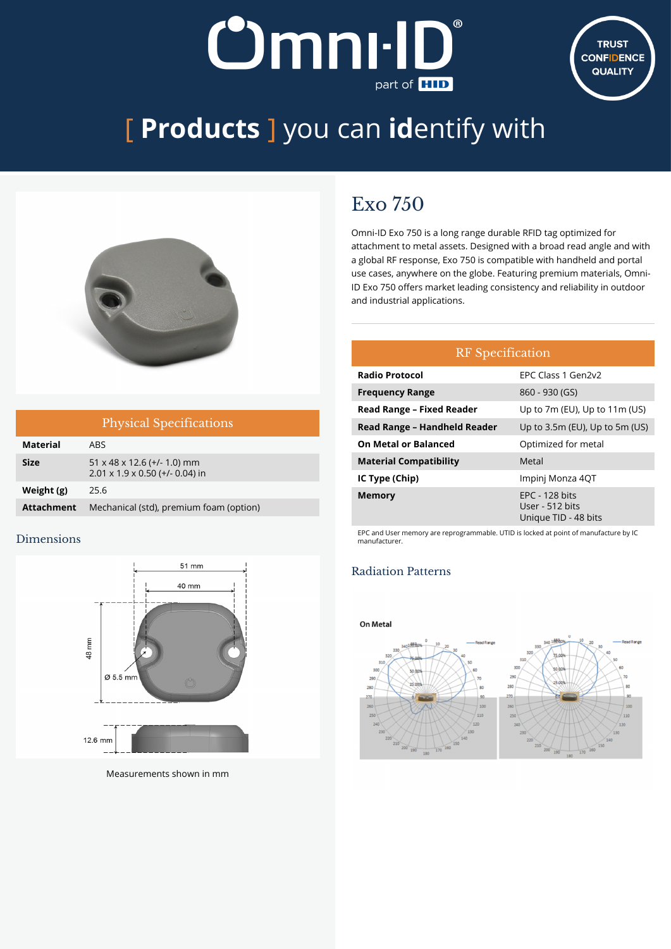# **Omnı-II J** part of **HID**



# [ **Products** ] you can **id**entify with



| <b>Physical Specifications</b> |                                                                                        |  |  |
|--------------------------------|----------------------------------------------------------------------------------------|--|--|
| <b>Material</b>                | ARS.                                                                                   |  |  |
| <b>Size</b>                    | $51 \times 48 \times 12.6$ (+/- 1.0) mm<br>$2.01 \times 1.9 \times 0.50$ (+/- 0.04) in |  |  |
| Weight (g)                     | 25.6                                                                                   |  |  |
| <b>Attachment</b>              | Mechanical (std), premium foam (option)                                                |  |  |

### Dimensions



Measurements shown in mm

## Exo 750

Omni-ID Exo 750 is a long range durable RFID tag optimized for attachment to metal assets. Designed with a broad read angle and with a global RF response, Exo 750 is compatible with handheld and portal use cases, anywhere on the globe. Featuring premium materials, Omni-ID Exo 750 offers market leading consistency and reliability in outdoor and industrial applications.

| <b>RF</b> Specification          |                                                             |  |  |
|----------------------------------|-------------------------------------------------------------|--|--|
| <b>Radio Protocol</b>            | FPC Class 1 Gen2v2                                          |  |  |
| <b>Frequency Range</b>           | 860 - 930 (GS)                                              |  |  |
| <b>Read Range - Fixed Reader</b> | Up to 7m (EU), Up to 11m (US)                               |  |  |
| Read Range - Handheld Reader     | Up to 3.5m (EU), Up to 5m (US)                              |  |  |
| <b>On Metal or Balanced</b>      | Optimized for metal                                         |  |  |
| <b>Material Compatibility</b>    | Metal                                                       |  |  |
| IC Type (Chip)                   | Impinj Monza 4QT                                            |  |  |
| <b>Memory</b>                    | $EPC - 128$ bits<br>User - 512 bits<br>Unique TID - 48 bits |  |  |

EPC and User memory are reprogrammable. UTID is locked at point of manufacture by IC manufacturer.

## Radiation Patterns

#### On Metal